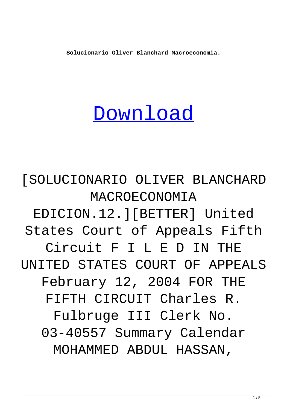**Solucionario Oliver Blanchard Macroeconomia.**

## [Download](http://evacdir.com/sirohiestates.amyloidosis?triberg=ZG93bmxvYWR8VWo5WjNFeVpYeDhNVFkxTlRnME1qazRNWHg4TWpVM05IeDhLRTBwSUhKbFlXUXRZbXh2WnlCYlJtRnpkQ0JIUlU1ZA&contrares=U29sdWNpb25hcmlvIE9saXZlciBCbGFuY2hhcmQgTWFjcm9lY29ub21pYSBFZGljaW9uLjEyU29&malaria)

[SOLUCIONARIO OLIVER BLANCHARD MACROECONOMIA EDICION.12.][BETTER] United States Court of Appeals Fifth Circuit F I L E D IN THE UNITED STATES COURT OF APPEALS February 12, 2004 FOR THE FIFTH CIRCUIT Charles R. Fulbruge III Clerk No. 03-40557 Summary Calendar MOHAMMED ABDUL HASSAN,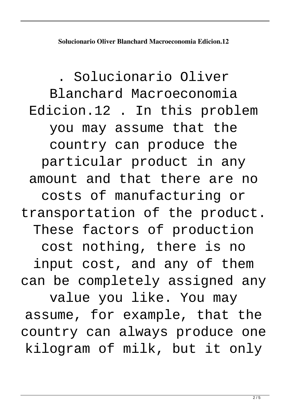**Solucionario Oliver Blanchard Macroeconomia Edicion.12**

. Solucionario Oliver Blanchard Macroeconomia Edicion.12 . In this problem you may assume that the country can produce the particular product in any amount and that there are no costs of manufacturing or transportation of the product. These factors of production cost nothing, there is no input cost, and any of them can be completely assigned any value you like. You may assume, for example, that the country can always produce one kilogram of milk, but it only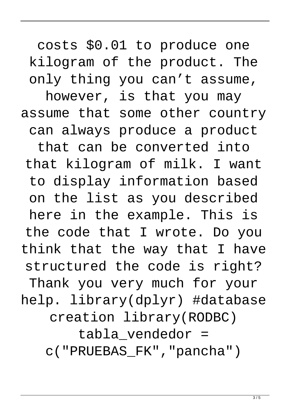costs \$0.01 to produce one kilogram of the product. The only thing you can't assume,

however, is that you may assume that some other country can always produce a product

that can be converted into that kilogram of milk. I want to display information based on the list as you described here in the example. This is the code that I wrote. Do you think that the way that I have structured the code is right? Thank you very much for your help. library(dplyr) #database creation library(RODBC) tabla\_vendedor = c("PRUEBAS\_FK","pancha")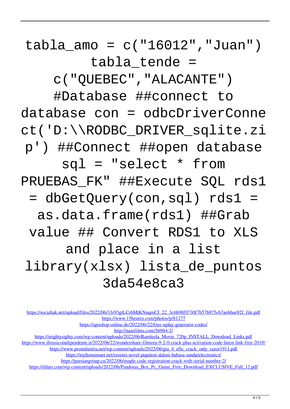tabla amo =  $c("16012", "Juan")$ tabla\_tende =

c("QUEBEC","ALACANTE")

#Database ##connect to database con = odbcDriverConne ct('D:\\RODBC\_DRIVER\_sqlite.zi p') ##Connect ##open database

sql = "select \* from PRUEBAS FK" ##Execute SQL rds1

= dbGetQuery(con,sql) rds1 =

as.data.frame(rds1) ##Grab value ## Convert RDS1 to XLS and place in a list library(xlsx) lista\_de\_puntos 3da54e8ca3

[https://socialtak.net/upload/files/2022/06/33r93gtLCr6MtKNuqmCJ\\_22\\_3c6b98f0730f7b57b975c67ae66ae92f\\_file.pdf](https://socialtak.net/upload/files/2022/06/33r93gtLCr6MtKNuqmCJ_22_3c6b98f0730f7b57b975c67ae66ae92f_file.pdf) <https://www.15heures.com/photos/p/81277>

<https://aposhop-online.de/2022/06/22/free-uplay-generator-codes/> <http://naasfilms.com/56984-2/>

[https://mightysighty.com/wp-content/uploads/2022/06/Ramleela\\_Movie\\_720p\\_INSTALL\\_Download\\_Links.pdf](https://mightysighty.com/wp-content/uploads/2022/06/Ramleela_Movie_720p_INSTALL_Download_Links.pdf)

<https://www.iltossicoindipendente.it/2022/06/22/wondershare-filmora-9-2-0-crack-plus-activation-code-latest-link-free-2019/> [https://www.proindustria.net/wp-content/uploads/2022/06/gta\\_4\\_eflc\\_crack\\_only\\_razor1911.pdf](https://www.proindustria.net/wp-content/uploads/2022/06/gta_4_eflc_crack_only_razor1911.pdf)

<https://myhomemart.net/resensi-novel-puputon-dalam-bahasa-sunda/electronics/>

<https://parsiangroup.ca/2022/06/maple-code-registration-crack-with-serial-number-2/>

[https://dilats.com/wp-content/uploads/2022/06/Pandoras\\_Box\\_Pc\\_Game\\_Free\\_Download\\_EXCLUSIVE\\_Full\\_12.pdf](https://dilats.com/wp-content/uploads/2022/06/Pandoras_Box_Pc_Game_Free_Download_EXCLUSIVE_Full_12.pdf)